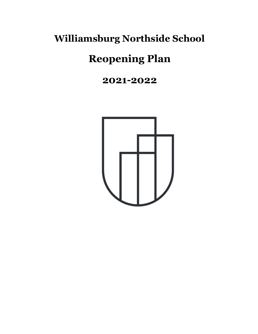# **Williamsburg Northside School**

# **Reopening Plan**

# **2021-2022**

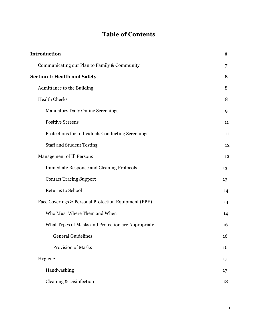# **Table of Contents**

| <b>Introduction</b>                 |                                                      | 6  |
|-------------------------------------|------------------------------------------------------|----|
|                                     | Communicating our Plan to Family & Community         | 7  |
| <b>Section I: Health and Safety</b> |                                                      |    |
|                                     | Admittance to the Building                           | 8  |
|                                     | <b>Health Checks</b>                                 | 8  |
|                                     | <b>Mandatory Daily Online Screenings</b>             | 9  |
|                                     | <b>Positive Screens</b>                              | 11 |
|                                     | Protections for Individuals Conducting Screenings    | 11 |
|                                     | <b>Staff and Student Testing</b>                     | 12 |
|                                     | Management of Ill Persons                            | 12 |
|                                     | <b>Immediate Response and Cleaning Protocols</b>     | 13 |
|                                     | <b>Contact Tracing Support</b>                       | 13 |
|                                     | Returns to School                                    | 14 |
|                                     | Face Coverings & Personal Protection Equipment (PPE) | 14 |
|                                     | Who Must Where Them and When                         | 14 |
|                                     | What Types of Masks and Protection are Appropriate   | 16 |
|                                     | <b>General Guidelines</b>                            | 16 |
|                                     | Provision of Masks                                   | 16 |
|                                     | Hygiene                                              | 17 |
|                                     | Handwashing                                          | 17 |
|                                     | Cleaning & Disinfection                              | 18 |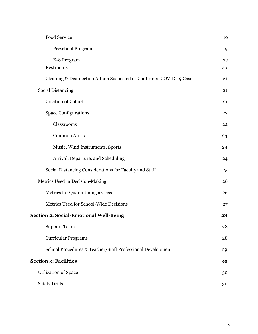| Food Service                                                         | 19 |
|----------------------------------------------------------------------|----|
| Preschool Program                                                    | 19 |
| K-8 Program                                                          | 20 |
| Restrooms                                                            | 20 |
| Cleaning & Disinfection After a Suspected or Confirmed COVID-19 Case | 21 |
| <b>Social Distancing</b>                                             | 21 |
| <b>Creation of Cohorts</b>                                           | 21 |
| <b>Space Configurations</b>                                          | 22 |
| Classrooms                                                           | 22 |
| <b>Common Areas</b>                                                  | 23 |
| Music, Wind Instruments, Sports                                      | 24 |
| Arrival, Departure, and Scheduling                                   | 24 |
| Social Distancing Considerations for Faculty and Staff               | 25 |
| Metrics Used in Decision-Making                                      | 26 |
| Metrics for Quarantining a Class                                     | 26 |
| Metrics Used for School-Wide Decisions                               | 27 |
| <b>Section 2: Social-Emotional Well-Being</b>                        |    |
| <b>Support Team</b>                                                  | 28 |
| <b>Curricular Programs</b>                                           | 28 |
| School Procedures & Teacher/Staff Professional Development           | 29 |
| <b>Section 3: Facilities</b>                                         |    |
| <b>Utilization of Space</b>                                          | 30 |
| <b>Safety Drills</b>                                                 | 30 |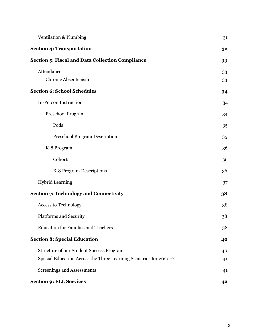| <b>Ventilation &amp; Plumbing</b>                                 | 31 |
|-------------------------------------------------------------------|----|
| <b>Section 4: Transportation</b>                                  | 32 |
| <b>Section 5: Fiscal and Data Collection Compliance</b>           | 33 |
| Attendance                                                        | 33 |
| Chronic Absenteeism                                               | 33 |
| <b>Section 6: School Schedules</b>                                | 34 |
| In-Person Instruction                                             | 34 |
| Preschool Program                                                 | 34 |
| Pods                                                              | 35 |
| <b>Preschool Program Description</b>                              | 35 |
| K-8 Program                                                       | 36 |
| Cohorts                                                           | 36 |
| K-8 Program Descriptions                                          | 36 |
| <b>Hybrid Learning</b>                                            | 37 |
| <b>Section 7: Technology and Connectivity</b>                     | 38 |
| <b>Access to Technology</b>                                       | 38 |
| Platforms and Security                                            | 38 |
| <b>Education for Families and Teachers</b>                        | 38 |
| <b>Section 8: Special Education</b>                               | 40 |
| <b>Structure of our Student Success Program</b>                   | 40 |
| Special Education Across the Three Learning Scenarios for 2020-21 | 41 |
| Screenings and Assessments                                        | 41 |
| <b>Section 9: ELL Services</b>                                    | 42 |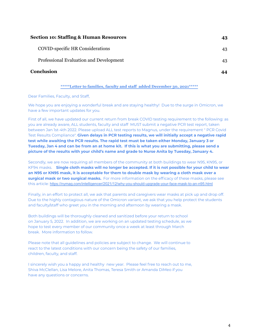| <b>Section 10: Staffing &amp; Human Resources</b> |    |
|---------------------------------------------------|----|
| <b>COVID-specific HR Considerations</b>           | 43 |
| Professional Evaluation and Development           | 43 |
| Conclusion                                        |    |

#### **\*\*\*\*\*Letter to families, faculty and staff added December 30, 2021\*\*\*\*\***

Dear Families, Faculty, and Staff,

We hope you are enjoying a wonderful break and are staying healthy! Due to the surge in Omicron, we have a few important updates for you.

First of all, we have updated our current return from break COVID testing requirement to the following: as you are already aware, ALL students, faculty and staff MUST submit a negative PCR test report, taken between Jan 1st-4th 2022. Please upload ALL test reports to Magnus, under the requirement " PCR Covid Test Results Compliance". **Given delays in PCR testing results, we will initially accept a negative rapid test while awaiting the PCR results. The rapid test must be taken either Monday, January 3 or Tuesday, Jan 4 and can be from an at home kit. If this is what you are submitting, please send a picture of the results with your child's name and grade to Nurse Anita by Tuesday, January 4.**

Secondly, we are now requiring all members of the community at both buildings to wear N95, KN95, or KF94 masks. **Single cloth masks will no longer be accepted. If it is not possible for your child to wear an N95 or KN95 mask, it is acceptable for them to double mask by wearing a cloth mask over a surgical mask or two surgical masks.** For more information on the efficacy of these masks, please see this article: <https://nymag.com/intelligencer/2021/12/why-you-should-upgrade-your-face-mask-to-an-n95.html>

Finally, in an effort to protect all, we ask that parents and caregivers wear masks at pick up and drop off. Due to the highly contagious nature of the Omicron variant, we ask that you help protect the students and faculty/staff who greet you in the morning and afternoon by wearing a mask.

Both buildings will be thoroughly cleaned and sanitized before your return to school on January 5, 2022. In addition, we are working on an updated testing schedule, as we hope to test every member of our community once a week at least through March break. More information to follow.

Please note that all guidelines and policies are subject to change. We will continue to react to the latest conditions with our concern being the safety of our families, children, faculty, and staff.

I sincerely wish you a happy and healthy new year. Please feel free to reach out to me, Shiva McClellan, Lisa Melore, Anita Thomas, Teresa Smith or Amanda DiMeo if you have any questions or concerns.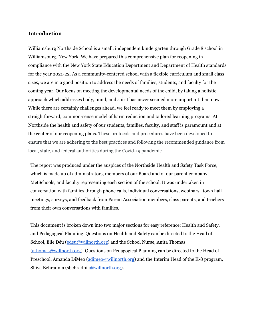#### <span id="page-5-0"></span>**Introduction**

Williamsburg Northside School is a small, independent kindergarten through Grade 8 school in Williamsburg, New York. We have prepared this comprehensive plan for reopening in compliance with the New York State Education Department and Department of Health standards for the year 2021-22. As a community-centered school with a flexible curriculum and small class sizes, we are in a good position to address the needs of families, students, and faculty for the coming year. Our focus on meeting the developmental needs of the child, by taking a holistic approach which addresses body, mind, and spirit has never seemed more important than now. While there are certainly challenges ahead, we feel ready to meet them by employing a straightforward, common-sense model of harm reduction and tailored learning programs. At Northside the health and safety of our students, families, faculty, and staff is paramount and at the center of our reopening plans. These protocols and procedures have been developed to ensure that we are adhering to the best practices and following the recommended guidance from local, state, and federal authorities during the Covid-19 pandemic.

The report was produced under the auspices of the Northside Health and Safety Task Force, which is made up of administrators, members of our Board and of our parent company, MetSchools, and faculty representing each section of the school. It was undertaken in conversation with families through phone calls, individual conversations, webinars, town hall meetings, surveys, and feedback from Parent Association members, class parents, and teachers from their own conversations with families.

<span id="page-5-1"></span>This document is broken down into two major sections for easy reference: Health and Safety, and Pedagogical Planning. Questions on Health and Safety can be directed to the Head of School, Elie Déu ([edeu@willnorth.org\)](mailto:edeu@willnorth.org) and the School Nurse, Anita Thomas [\(athomas@willnorth.org\)](mailto:athomas@willnorth.org). Questions on Pedagogical Planning can be directed to the Head of Preschool, Amanda DiMeo ([adimeo@willnorth.org\)](mailto:adimeo@willnorth.org) and the Interim Head of the K-8 program, Shiva Behradnia (sbehradni[a@willnorth.org](mailto:dhinko@willnorth.org)).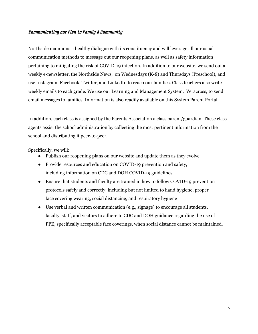#### Communicating our Plan to Family & Community

Northside maintains a healthy dialogue with its constituency and will leverage all our usual communication methods to message out our reopening plans, as well as safety information pertaining to mitigating the risk of COVID-19 infection. In addition to our website, we send out a weekly e-newsletter, the Northside News, on Wednesdays (K-8) and Thursdays (Preschool), and use Instagram, Facebook, Twitter, and LinkedIn to reach our families. Class teachers also write weekly emails to each grade. We use our Learning and Management System, Veracross, to send email messages to families. Information is also readily available on this System Parent Portal.

In addition, each class is assigned by the Parents Association a class parent/guardian. These class agents assist the school administration by collecting the most pertinent information from the school and distributing it peer-to-peer.

Specifically, we will:

- Publish our reopening plans on our website and update them as they evolve
- Provide resources and education on COVID-19 prevention and safety, including information on CDC and DOH COVID-19 guidelines
- Ensure that students and faculty are trained in how to follow COVID-19 prevention protocols safely and correctly, including but not limited to hand hygiene, proper face covering wearing, social distancing, and respiratory hygiene
- Use verbal and written communication (e.g., signage) to encourage all students, faculty, staff, and visitors to adhere to CDC and DOH guidance regarding the use of PPE, specifically acceptable face coverings, when social distance cannot be maintained.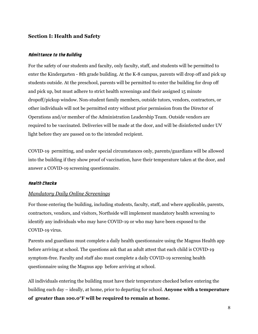# <span id="page-7-0"></span>**Section I: Health and Safety**

#### Admittance to the Building

For the safety of our students and faculty, only faculty, staff, and students will be permitted to enter the Kindergarten - 8th grade building. At the K-8 campus, parents will drop off and pick up students outside. At the preschool, parents will be permitted to enter the building for drop off and pick up, but must adhere to strict health screenings and their assigned 15 minute dropoff/pickup window. Non-student family members, outside tutors, vendors, contractors, or other individuals will not be permitted entry without prior permission from the Director of Operations and/or member of the Administration Leadership Team. Outside vendors are required to be vaccinated. Deliveries will be made at the door, and will be disinfected under UV light before they are passed on to the intended recipient.

COVID-19 permitting, and under special circumstances only, parents/guardians will be allowed into the building if they show proof of vaccination, have their temperature taken at the door, and answer a COVID-19 screening questionnaire.

#### <span id="page-7-2"></span><span id="page-7-1"></span>Health Checks

#### *Mandatory Daily Online Screenings*

For those entering the building, including students, faculty, staff, and where applicable, parents, contractors, vendors, and visitors, Northside will implement mandatory health screening to identify any individuals who may have COVID-19 or who may have been exposed to the COVID-19 virus.

Parents and guardians must complete a daily health questionnaire using the Magnus Health app before arriving at school. The questions ask that an adult attest that each child is COVID-19 symptom-free. Faculty and staff also must complete a daily COVID-19 screening health questionnaire using the Magnus app before arriving at school.

All individuals entering the building must have their temperature checked before entering the building each day – ideally, at home, prior to departing for school. **Anyone with a temperature of greater than 100.0°F will be required to remain at home.**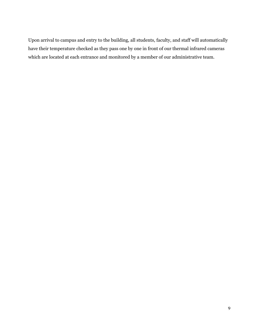Upon arrival to campus and entry to the building, all students, faculty, and staff will automatically have their temperature checked as they pass one by one in front of our thermal infrared cameras which are located at each entrance and monitored by a member of our administrative team.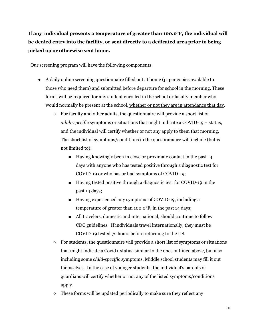**If any individual presents a temperature of greater than 100.0°F, the individual will be denied entry into the facility, or sent directly to a dedicated area prior to being picked up or otherwise sent home.**

Our screening program will have the following components:

- A daily online screening questionnaire filled out at home (paper copies available to those who need them) and submitted before departure for school in the morning. These forms will be required for any student enrolled in the school or faculty member who would normally be present at the school, whether or not they are in attendance that day.
	- For faculty and other adults, the questionnaire will provide a short list of *adult-specific* symptoms or situations that might indicate a COVID-19 + status, and the individual will certify whether or not any apply to them that morning. The short list of symptoms/conditions in the questionnaire will include (but is not limited to):
		- Having knowingly been in close or proximate contact in the past 14 days with anyone who has tested positive through a diagnostic test for COVID-19 or who has or had symptoms of COVID-19;
		- Having tested positive through a diagnostic test for COVID-19 in the past 14 days;
		- Having experienced any symptoms of COVID-19, including a temperature of greater than 100.0°F, in the past 14 days;
		- All travelers, domestic and international, should continue to follow CDC guidelines. If individuals travel internationally, they must be COVID-19 tested 72 hours before returning to the US.
	- $\circ$  For students, the questionnaire will provide a short list of symptoms or situations that might indicate a Covid+ status, similar to the ones outlined above, but also including some *child-specific* symptoms. Middle school students may fill it out themselves. In the case of younger students, the individual's parents or guardians will certify whether or not any of the listed symptoms/conditions apply.
	- These forms will be updated periodically to make sure they reflect any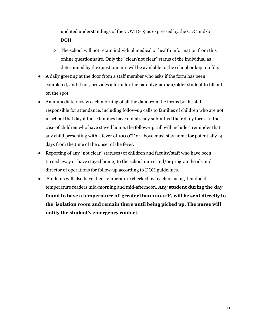updated understandings of the COVID-19 as expressed by the CDC and/or DOH.

- $\circ$  The school will not retain individual medical or health information from this online questionnaire. Only the "clear/not clear" status of the individual as determined by the questionnaire will be available to the school or kept on file.
- A daily greeting at the door from a staff member who asks if the form has been completed, and if not, provides a form for the parent/guardian/older student to fill out on the spot.
- An immediate review each morning of all the data from the forms by the staff responsible for attendance, including follow-up calls to families of children who are not in school that day if those families have not already submitted their daily form. In the case of children who have stayed home, the follow-up call will include a reminder that any child presenting with a fever of 100.0°F or above must stay home for potentially 14 days from the time of the onset of the fever.
- Reporting of any "not clear" statuses (of children and faculty/staff who have been turned away or have stayed home) to the school nurse and/or program heads and director of operations for follow-up according to DOH guidelines.
- Students will also have their temperature checked by teachers using handheld temperature readers mid-morning and mid-afternoon. **Any student during the day found to have a temperature of greater than 100.0°F, will be sent directly to the isolation room and remain there until being picked up. The nurse will notify the student's emergency contact.**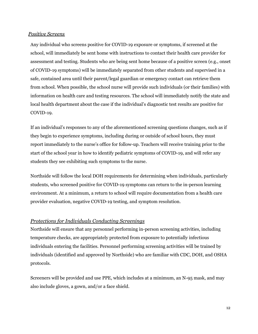#### *Positive Screens*

Any individual who screens positive for COVID-19 exposure or symptoms, if screened at the school, will immediately be sent home with instructions to contact their health care provider for assessment and testing. Students who are being sent home because of a positive screen (e.g., onset of COVID-19 symptoms) will be immediately separated from other students and supervised in a safe, contained area until their parent/legal guardian or emergency contact can retrieve them from school. When possible, the school nurse will provide such individuals (or their families) with information on health care and testing resources. The school will immediately notify the state and local health department about the case if the individual's diagnostic test results are positive for COVID-19.

If an individual's responses to any of the aforementioned screening questions changes, such as if they begin to experience symptoms, including during or outside of school hours, they must report immediately to the nurse's office for follow-up. Teachers will receive training prior to the start of the school year in how to identify pediatric symptoms of COVID-19, and will refer any students they see exhibiting such symptoms to the nurse.

Northside will follow the local DOH requirements for determining when individuals, particularly students, who screened positive for COVID-19 symptoms can return to the in-person learning environment. At a minimum, a return to school will require documentation from a health care provider evaluation, negative COVID-19 testing, and symptom resolution.

#### *Protections for Individuals Conducting Screenings*

Northside will ensure that any personnel performing in-person screening activities, including temperature checks, are appropriately protected from exposure to potentially infectious individuals entering the facilities. Personnel performing screening activities will be trained by individuals (identified and approved by Northside) who are familiar with CDC, DOH, and OSHA protocols.

Screeners will be provided and use PPE, which includes at a minimum, an N-95 mask, and may also include gloves, a gown, and/or a face shield.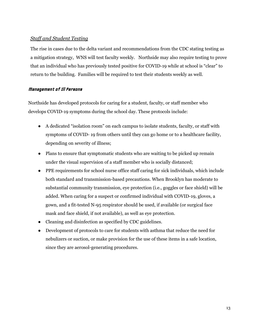# <span id="page-12-0"></span>*Staff and Student Testing*

The rise in cases due to the delta variant and recommendations from the CDC stating testing as a mitigation strategy, WNS will test faculty weekly. Northside may also require testing to prove that an individual who has previously tested positive for COVID-19 while at school is "clear" to return to the building. Families will be required to test their students weekly as well.

### <span id="page-12-1"></span>Management of Ill Persons

Northside has developed protocols for caring for a student, faculty, or staff member who develops COVID-19 symptoms during the school day. These protocols include:

- A dedicated "isolation room" on each campus to isolate students, faculty, or staff with symptoms of COVID- 19 from others until they can go home or to a healthcare facility, depending on severity of illness;
- Plans to ensure that symptomatic students who are waiting to be picked up remain under the visual supervision of a staff member who is socially distanced;
- PPE requirements for school nurse office staff caring for sick individuals, which include both standard and transmission-based precautions. When Brooklyn has moderate to substantial community transmission, eye protection (i.e., goggles or face shield) will be added. When caring for a suspect or confirmed individual with COVID-19, gloves, a gown, and a fit-tested N-95 respirator should be used, if available (or surgical face mask and face shield, if not available), as well as eye protection.
- Cleaning and disinfection as specified by CDC guidelines.
- Development of protocols to care for students with asthma that reduce the need for nebulizers or suction, or make provision for the use of these items in a safe location, since they are aerosol-generating procedures.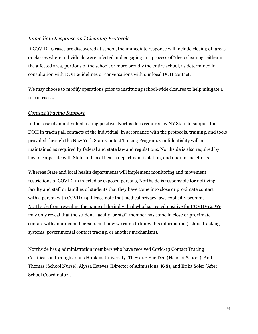#### <span id="page-13-0"></span>*Immediate Response and Cleaning Protocols*

If COVID-19 cases are discovered at school, the immediate response will include closing off areas or classes where individuals were infected and engaging in a process of "deep cleaning" either in the affected area, portions of the school, or more broadly the entire school, as determined in consultation with DOH guidelines or conversations with our local DOH contact.

We may choose to modify operations prior to instituting school-wide closures to help mitigate a rise in cases.

# <span id="page-13-1"></span>*Contact Tracing Support*

In the case of an individual testing positive, Northside is required by NY State to support the DOH in tracing all contacts of the individual, in accordance with the protocols, training, and tools provided through the New York State Contact Tracing Program. Confidentiality will be maintained as required by federal and state law and regulations. Northside is also required by law to cooperate with State and local health department isolation, and quarantine efforts.

Whereas State and local health departments will implement monitoring and movement restrictions of COVID-19 infected or exposed persons, Northside is responsible for notifying faculty and staff or families of students that they have come into close or proximate contact with a person with COVID-19. Please note that medical privacy laws explicitly prohibit Northside from revealing the name of the individual who has tested positive for COVID-19. We may only reveal that the student, faculty, or staff member has come in close or proximate contact with an unnamed person, and how we came to know this information (school tracking systems, governmental contact tracing, or another mechanism).

Northside has 4 administration members who have received Covid-19 Contact Tracing Certification through Johns Hopkins University. They are: Elie Déu (Head of School), Anita Thomas (School Nurse), Alyssa Estevez (Director of Admissions, K-8), and Erika Soler (After School Coordinator).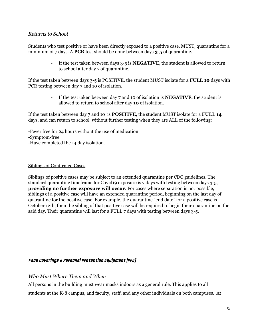# <span id="page-14-0"></span>*Returns to School*

Students who test positive or have been directly exposed to a positive case, MUST, quarantine for a minimum of 7 days. A **PCR** test should be done between days **3-5** of quarantine.

> - If the test taken between days 3-5 is **NEGATIVE**, the student is allowed to return to school after day 7 of quarantine.

If the test taken between days 3-5 is POSITIVE, the student MUST isolate for a **FULL 10** days with PCR testing between day 7 and 10 of isolation.

> - If the test taken between day 7 and 10 of isolation is **NEGATIVE**, the student is allowed to return to school after day **10** of isolation.

If the test taken between day 7 and 10 is **POSITIVE**, the student MUST isolate for a **FULL 14** days, and can return to school without further testing when they are ALL of the following:

-Fever free for 24 hours without the use of medication -Symptom-free -Have completed the 14 day isolation.

# Siblings of Confirmed Cases

Siblings of positive cases may be subject to an extended quarantine per CDC guidelines. The standard quarantine timeframe for Covid19 exposure is 7 days with testing between days 3-5, **providing no further exposure will occur**. For cases where separation is not possible, siblings of a positive case will have an extended quarantine period, beginning on the last day of quarantine for the positive case. For example, the quarantine "end date" for a positive case is October 12th, then the sibling of that positive case will be required to begin their quarantine on the said day. Their quarantine will last for a FULL 7 days with testing between days 3-5.

#### Face Coverings & Personal Protection Equipment (PPE)

*Who Must Where Them and When*

All persons in the building must wear masks indoors as a general rule. This applies to all students at the K-8 campus, and faculty, staff, and any other individuals on both campuses. At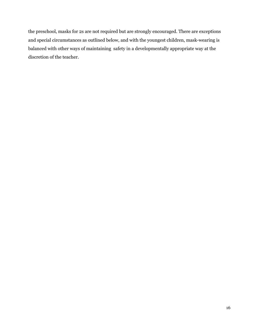the preschool, masks for 2s are not required but are strongly encouraged. There are exceptions and special circumstances as outlined below, and with the youngest children, mask-wearing is balanced with other ways of maintaining safety in a developmentally appropriate way at the discretion of the teacher.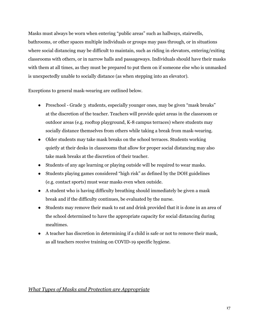Masks must always be worn when entering "public areas" such as hallways, stairwells, bathrooms, or other spaces multiple individuals or groups may pass through, or in situations where social distancing may be difficult to maintain, such as riding in elevators, entering/exiting classrooms with others, or in narrow halls and passageways. Individuals should have their masks with them at all times, as they must be prepared to put them on if someone else who is unmasked is unexpectedly unable to socially distance (as when stepping into an elevator).

Exceptions to general mask-wearing are outlined below.

- Preschool Grade 3 students, especially younger ones, may be given "mask breaks" at the discretion of the teacher. Teachers will provide quiet areas in the classroom or outdoor areas (e.g. rooftop playground, K-8 campus terraces) where students may socially distance themselves from others while taking a break from mask-wearing.
- Older students may take mask breaks on the school terraces. Students working quietly at their desks in classrooms that allow for proper social distancing may also take mask breaks at the discretion of their teacher.
- Students of any age learning or playing outside will be required to wear masks.
- Students playing games considered "high risk" as defined by the DOH guidelines (e.g. contact sports) must wear masks even when outside.
- A student who is having difficulty breathing should immediately be given a mask break and if the difficulty continues, be evaluated by the nurse.
- Students may remove their mask to eat and drink provided that it is done in an area of the school determined to have the appropriate capacity for social distancing during mealtimes.
- <span id="page-16-0"></span>● A teacher has discretion in determining if a child is safe or not to remove their mask, as all teachers receive training on COVID-19 specific hygiene.

# *What Types of Masks and Protection are Appropriate*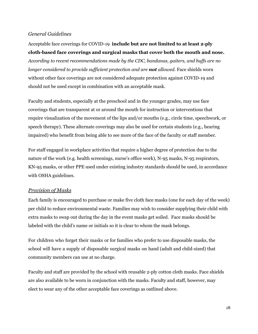# <span id="page-17-0"></span>*General Guidelines*

Acceptable face coverings for COVID-19 **include but are not limited to at least 2-ply cloth-based face coverings and surgical masks that cover both the mouth and nose.** *According to recent recommendations made by the CDC, bandanas, gaiters, and buf s are no longer considered to provide suf icient protection and are not allowed.* Face shields worn without other face coverings are not considered adequate protection against COVID-19 and should not be used except in combination with an acceptable mask.

Faculty and students, especially at the preschool and in the younger grades, may use face coverings that are transparent at or around the mouth for instruction or interventions that require visualization of the movement of the lips and/or mouths (e.g., circle time, speechwork, or speech therapy). These alternate coverings may also be used for certain students (e.g., hearing impaired) who benefit from being able to see more of the face of the faculty or staff member.

For staff engaged in workplace activities that require a higher degree of protection due to the nature of the work (e.g. health screenings, nurse's office work), N-95 masks, N-95 respirators, KN-95 masks, or other PPE used under existing industry standards should be used, in accordance with OSHA guidelines.

#### <span id="page-17-1"></span>*Provision of Masks*

Each family is encouraged to purchase or make five cloth face masks (one for each day of the week) per child to reduce environmental waste. Families may wish to consider supplying their child with extra masks to swap out during the day in the event masks get soiled. Face masks should be labeled with the child's name or initials so it is clear to whom the mask belongs.

For children who forget their masks or for families who prefer to use disposable masks, the school will have a supply of disposable surgical masks on hand (adult and child-sized) that community members can use at no charge.

Faculty and staff are provided by the school with reusable 2-ply cotton cloth masks. Face shields are also available to be worn in conjunction with the masks. Faculty and staff, however, may elect to wear any of the other acceptable face coverings as outlined above.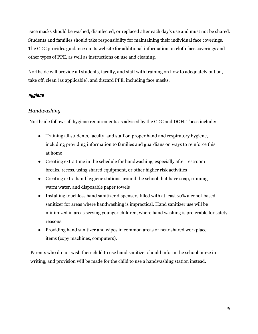Face masks should be washed, disinfected, or replaced after each day's use and must not be shared. Students and families should take responsibility for maintaining their individual face coverings. The CDC provides guidance on its website for additional information on cloth face coverings and other types of PPE, as well as instructions on use and cleaning.

Northside will provide all students, faculty, and staff with training on how to adequately put on, take off, clean (as applicable), and discard PPE, including face masks.

# <span id="page-18-0"></span>Hygiene

# <span id="page-18-1"></span>*Handwashing*

Northside follows all hygiene requirements as advised by the CDC and DOH. These include:

- Training all students, faculty, and staff on proper hand and respiratory hygiene, including providing information to families and guardians on ways to reinforce this at home
- Creating extra time in the schedule for handwashing, especially after restroom breaks, recess, using shared equipment, or other higher risk activities
- Creating extra hand hygiene stations around the school that have soap, running warm water, and disposable paper towels
- Installing touchless hand sanitizer dispensers filled with at least 70% alcohol-based sanitizer for areas where handwashing is impractical. Hand sanitizer use will be minimized in areas serving younger children, where hand washing is preferable for safety reasons.
- Providing hand sanitizer and wipes in common areas or near shared workplace items (copy machines, computers).

<span id="page-18-2"></span>Parents who do not wish their child to use hand sanitizer should inform the school nurse in writing, and provision will be made for the child to use a handwashing station instead.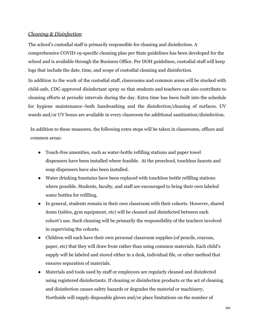### *Cleaning & Disinfection*

The school's custodial staff is primarily responsible for cleaning and disinfection. A comprehensive COVID-19-specific cleaning plan per State guidelines has been developed for the school and is available through the Business Office. Per DOH guidelines, custodial staff will keep logs that include the date, time, and scope of custodial cleaning and disinfection.

In addition to the work of the custodial staff, classrooms and common areas will be stocked with child-safe, CDC-approved disinfectant spray so that students and teachers can also contribute to cleaning efforts at periodic intervals during the day. Extra time has been built into the schedule for hygiene maintenance--both handwashing and the disinfection/cleaning of surfaces. UV wands and/or UV boxes are available in every classroom for additional sanitization/disinfection.

In addition to these measures, the following extra steps will be taken in classrooms, offices and common areas:

- Touch-free amenities, such as water-bottle refilling stations and paper towel dispensers have been installed where feasible. At the preschool, touchless faucets and soap dispensers have also been installed.
- Water drinking fountains have been replaced with touchless bottle refilling stations where possible. Students, faculty, and staff are encouraged to bring their own labeled water bottles for refilling.
- In general, students remain in their own classroom with their cohorts. However, shared items (tables, gym equipment, etc) will be cleaned and disinfected between each cohort's use. Such cleaning will be primarily the responsibility of the teachers involved in supervising the cohorts.
- Children will each have their own personal classroom supplies (of pencils, crayons, paper, etc) that they will draw from rather than using common materials. Each child's supply will be labeled and stored either in a desk, individual file, or other method that ensures separation of materials.
- Materials and tools used by staff or employees are regularly cleaned and disinfected using registered disinfectants. If cleaning or disinfection products or the act of cleaning and disinfection causes safety hazards or degrades the material or machinery, Northside will supply disposable gloves and/or place limitations on the number of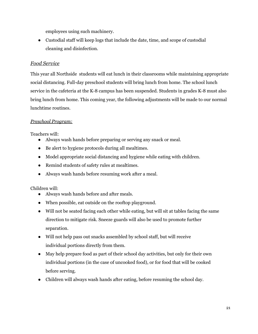employees using such machinery.

● Custodial staff will keep logs that include the date, time, and scope of custodial cleaning and disinfection.

# <span id="page-20-0"></span>*Food Service*

This year all Northside students will eat lunch in their classrooms while maintaining appropriate social distancing. Full-day preschool students will bring lunch from home. The school lunch service in the cafeteria at the K-8 campus has been suspended. Students in grades K-8 must also bring lunch from home. This coming year, the following adjustments will be made to our normal lunchtime routines.

# *Preschool Program:*

Teachers will:

- Always wash hands before preparing or serving any snack or meal.
- Be alert to hygiene protocols during all mealtimes.
- Model appropriate social distancing and hygiene while eating with children.
- Remind students of safety rules at mealtimes.
- Always wash hands before resuming work after a meal.

# Children will:

- Always wash hands before and after meals.
- When possible, eat outside on the rooftop playground.
- Will not be seated facing each other while eating, but will sit at tables facing the same direction to mitigate risk. Sneeze guards will also be used to promote further separation.
- Will not help pass out snacks assembled by school staff, but will receive individual portions directly from them.
- May help prepare food as part of their school day activities, but only for their own individual portions (in the case of uncooked food), or for food that will be cooked before serving.
- Children will always wash hands after eating, before resuming the school day.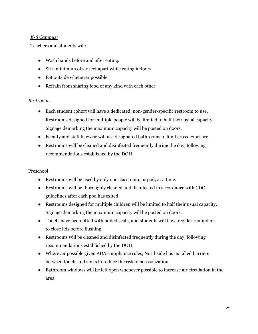# *K-8 Campus:*

Teachers and students will:

- Wash hands before and after eating.
- Sit a minimum of six feet apart while eating indoors.
- Eat outside whenever possible.
- Refrain from sharing food of any kind with each other.

### <span id="page-21-0"></span>*Restrooms*

- Each student cohort will have a dedicated, non-gender-specific restroom to use. Restrooms designed for multiple people will be limited to half their usual capacity. Signage demarking the maximum capacity will be posted on doors.
- Faculty and staff likewise will use designated bathrooms to limit cross-exposure.
- Restrooms will be cleaned and disinfected frequently during the day, following recommendations established by the DOH.

#### Preschool

- Restrooms will be used by only one classroom, or pod, at a time.
- Restrooms will be thoroughly cleaned and disinfected in accordance with CDC guidelines after each pod has exited.
- Restrooms designed for multiple children will be limited to half their usual capacity. Signage demarking the maximum capacity will be posted on doors.
- Toilets have been fitted with lidded seats, and students will have regular reminders to close lids before flushing.
- Restrooms will be cleaned and disinfected frequently during the day, following recommendations established by the DOH.
- Wherever possible given ADA compliance rules, Northside has installed barriers between toilets and sinks to reduce the risk of aerosolization.
- <span id="page-21-1"></span>● Bathroom windows will be left open whenever possible to increase air circulation in the area.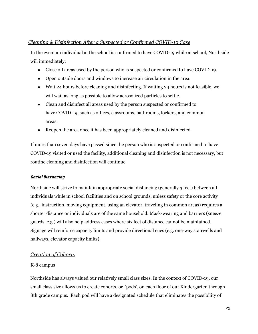# *Cleaning & Disinfection After a Suspected or Confirmed COVID-19 Case*

In the event an individual at the school is confirmed to have COVID-19 while at school, Northside will immediately:

- Close off areas used by the person who is suspected or confirmed to have COVID-19.
- Open outside doors and windows to increase air circulation in the area.
- Wait 24 hours before cleaning and disinfecting. If waiting 24 hours is not feasible, we will wait as long as possible to allow aerosolized particles to settle.
- Clean and disinfect all areas used by the person suspected or confirmed to have COVID-19, such as offices, classrooms, bathrooms, lockers, and common areas.
- Reopen the area once it has been appropriately cleaned and disinfected.

If more than seven days have passed since the person who is suspected or confirmed to have COVID-19 visited or used the facility, additional cleaning and disinfection is not necessary, but routine cleaning and disinfection will continue.

#### <span id="page-22-0"></span>Social Distancing

Northside will strive to maintain appropriate social distancing (generally 3 feet) between all individuals while in school facilities and on school grounds, unless safety or the core activity (e.g., instruction, moving equipment, using an elevator, traveling in common areas) requires a shorter distance or individuals are of the same household. Mask-wearing and barriers (sneeze guards, e.g.) will also help address cases where six feet of distance cannot be maintained. Signage will reinforce capacity limits and provide directional cues (e.g. one-way stairwells and hallways, elevator capacity limits).

# <span id="page-22-1"></span>*Creation of Cohorts*

# K-8 campus

Northside has always valued our relatively small class sizes. In the context of COVID-19, our small class size allows us to create cohorts, or 'pods', on each floor of our Kindergarten through 8th grade campus. Each pod will have a designated schedule that eliminates the possibility of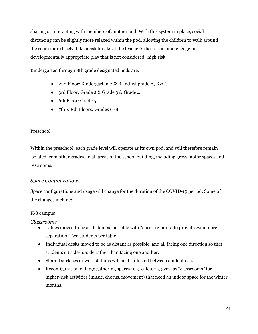sharing or interacting with members of another pod. With this system in place, social distancing can be slightly more relaxed within the pod, allowing the children to walk around the room more freely, take mask breaks at the teacher's discretion, and engage in developmentally appropriate play that is not considered "high risk."

Kindergarten through 8th grade designated pods are:

- 2nd Floor: Kindergarten A & B and 1st grade A, B & C
- 3rd Floor: Grade 2 & Grade 3 & Grade 4
- 6th Floor: Grade 5
- 7th & 8th Floors: Grades 6 -8

# Preschool

Within the preschool, each grade level will operate as its own pod, and will therefore remain isolated from other grades in all areas of the school building, including gross motor spaces and restrooms.

# <span id="page-23-0"></span>*Space Configurations*

Space configurations and usage will change for the duration of the COVID-19 period. Some of the changes include:

# K-8 campus

<span id="page-23-1"></span>*Classrooms*

- Tables moved to be as distant as possible with "sneeze guards" to provide even more separation. Two students per table.
- Individual desks moved to be as distant as possible, and all facing one direction so that students sit side-to-side rather than facing one another.
- Shared surfaces or workstations will be disinfected between student use.
- Reconfiguration of large gathering spaces (e.g. cafeteria, gym) as "classrooms" for higher-risk activities (music, chorus, movement) that need an indoor space for the winter months.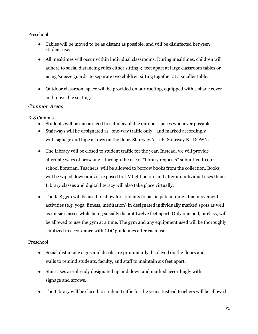# Preschool

- Tables will be moved to be as distant as possible, and will be disinfected between student use.
- All mealtimes will occur within individual classrooms. During mealtimes, children will adhere to social distancing rules either sitting 3 feet apart at large classroom tables or using 'sneeze guards' to separate two children sitting together at a smaller table.
- Outdoor classroom space will be provided on our rooftop, equipped with a shade cover and moveable seating.

# <span id="page-24-0"></span>*Common Areas*

K-8 Campus

- Students will be encouraged to eat in available outdoor spaces whenever possible.
- Stairways will be designated as "one-way traffic only," and marked accordingly with signage and tape arrows on the floor. Stairway A - UP. Stairway B - DOWN.
- The Library will be closed to student traffic for the year. Instead, we will provide alternate ways of browsing --through the use of "library requests" submitted to our school librarian. Teachers will be allowed to borrow books from the collection. Books will be wiped down and/or exposed to UV light before and after an individual uses them. Library classes and digital literacy will also take place virtually.
- The K-8 gym will be used to allow for students to participate in individual movement activities (e.g. yoga, fitness, meditation) in designated individually marked spots as well as music classes while being socially distant twelve feet apart. Only one pod, or class, will be allowed to use the gym at a time. The gym and any equipment used will be thoroughly sanitized in accordance with CDC guidelines after each use.

# Preschool

- Social distancing signs and decals are prominently displayed on the floors and walls to remind students, faculty, and staff to maintain six feet apart.
- Staircases are already designated up and down and marked accordingly with signage and arrows.
- The Library will be closed to student traffic for the year. Instead teachers will be allowed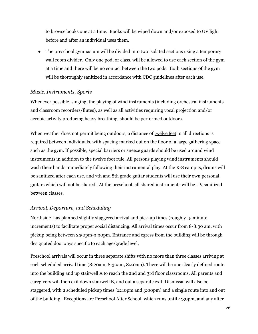to browse books one at a time. Books will be wiped down and/or exposed to UV light before and after an individual uses them.

• The preschool gymnasium will be divided into two isolated sections using a temporary wall room divider. Only one pod, or class, will be allowed to use each section of the gym at a time and there will be no contact between the two pods. Both sections of the gym will be thoroughly sanitized in accordance with CDC guidelines after each use.

#### <span id="page-25-0"></span>*Music, Instruments, Sports*

Whenever possible, singing, the playing of wind instruments (including orchestral instruments and classroom recorders/flutes), as well as all activities requiring vocal projection and/or aerobic activity producing heavy breathing, should be performed outdoors.

When weather does not permit being outdoors, a distance of <u>twelve feet</u> in all directions is required between individuals, with spacing marked out on the floor of a large gathering space such as the gym. If possible, special barriers or sneeze guards should be used around wind instruments in addition to the twelve foot rule. All persons playing wind instruments should wash their hands immediately following their instrumental play. At the K-8 campus, drums will be sanitized after each use, and 7th and 8th grade guitar students will use their own personal guitars which will not be shared. At the preschool, all shared instruments will be UV sanitized between classes.

#### <span id="page-25-1"></span>*Arrival, Departure, and Scheduling*

Northside has planned slightly staggered arrival and pick-up times (roughly 15 minute increments) to facilitate proper social distancing. All arrival times occur from 8-8:30 am, with pickup being between 2:50pm-3:30pm. Entrance and egress from the building will be through designated doorways specific to each age/grade level.

Preschool arrivals will occur in three separate shifts with no more than three classes arriving at each scheduled arrival time (8:20am, 8:30am, 8:40am). There will be one clearly defined route into the building and up stairwell A to reach the 2nd and 3rd floor classrooms. All parents and caregivers will then exit down stairwell B, and out a separate exit. Dismissal will also be staggered, with 2 scheduled pickup times (2:40pm and 3:00pm) and a single route into and out of the building. Exceptions are Preschool After School, which runs until 4:30pm, and any after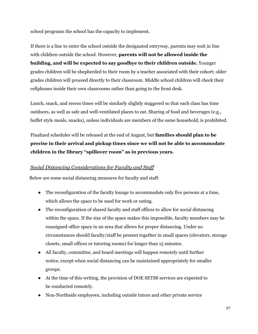school programs the school has the capacity to implement.

If there is a line to enter the school outside the designated entryway, parents may wait in line with children outside the school. However, **parents will not be allowed inside the building, and will be expected to say goodbye to their children outside.** Younger grades children will be shepherded to their room by a teacher associated with their cohort; older grades children will proceed directly to their classroom. Middle school children will check their cellphones inside their own classrooms rather than going to the front desk.

Lunch, snack, and recess times will be similarly slightly staggered so that each class has time outdoors, as well as safe and well-ventilated places to eat. Sharing of food and beverages (e.g., buffet style meals, snacks), unless individuals are members of the same household, is prohibited.

Finalized schedules will be released at the end of August, but **families should plan to be precise in their arrival and pickup times since we will not be able to accommodate children in the library "spillover room" as in previous years.**

# <span id="page-26-0"></span>*Social Distancing Considerations for Faculty and Staff*

Below are some social distancing measures for faculty and staff:

- The reconfiguration of the faculty lounge to accommodate only five persons at a time, which allows the space to be used for work or eating.
- The reconfiguration of shared faculty and staff offices to allow for social distancing within the space. If the size of the space makes this impossible, faculty members may be reassigned office space in an area that allows for proper distancing. Under no circumstances should faculty/staff be present together in small spaces (elevators, storage closets, small offices or tutoring rooms) for longer than 15 minutes.
- All faculty, committee, and board meetings will happen remotely until further notice, except when social distancing can be maintained appropriately for smaller groups.
- At the time of this writing, the provision of DOE SETSS services are expected to be conducted remotely.
- Non-Northside employees, including outside tutors and other private service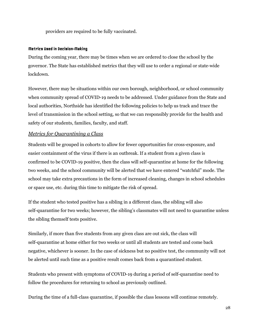providers are required to be fully vaccinated.

#### Metrics Used in Decision-Making

During the coming year, there may be times when we are ordered to close the school by the governor. The State has established metrics that they will use to order a regional or state-wide lockdown.

However, there may be situations within our own borough, neighborhood, or school community when community spread of COVID-19 needs to be addressed. Under guidance from the State and local authorities, Northside has identified the following policies to help us track and trace the level of transmission in the school setting, so that we can responsibly provide for the health and safety of our students, families, faculty, and staff.

### <span id="page-27-0"></span>*Metrics for Quarantining a Class*

Students will be grouped in cohorts to allow for fewer opportunities for cross-exposure, and easier containment of the virus if there is an outbreak. If a student from a given class is confirmed to be COVID-19 positive, then the class will self-quarantine at home for the following two weeks, and the school community will be alerted that we have entered "watchful" mode. The school may take extra precautions in the form of increased cleaning, changes in school schedules or space use, etc. during this time to mitigate the risk of spread.

If the student who tested positive has a sibling in a different class, the sibling will also self-quarantine for two weeks; however, the sibling's classmates will not need to quarantine unless the sibling themself tests positive.

Similarly, if more than five students from any given class are out sick, the class will self-quarantine at home either for two weeks or until all students are tested and come back negative, whichever is sooner. In the case of sickness but no positive test, the community will not be alerted until such time as a positive result comes back from a quarantined student.

Students who present with symptoms of COVID-19 during a period of self-quarantine need to follow the procedures for returning to school as previously outlined.

During the time of a full-class quarantine, if possible the class lessons will continue remotely.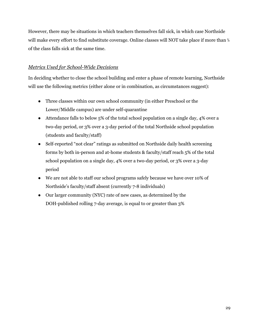However, there may be situations in which teachers themselves fall sick, in which case Northside will make every effort to find substitute coverage. Online classes will NOT take place if more than ⅓ of the class falls sick at the same time.

# <span id="page-28-0"></span>*Metrics Used for School-Wide Decisions*

In deciding whether to close the school building and enter a phase of remote learning, Northside will use the following metrics (either alone or in combination, as circumstances suggest):

- Three classes within our own school community (in either Preschool or the Lower/Middle campus) are under self-quarantine
- Attendance falls to below 5% of the total school population on a single day, 4% over a two-day period, or 3% over a 3-day period of the total Northside school population (students and faculty/staff)
- Self-reported "not clear" ratings as submitted on Northside daily health screening forms by both in-person and at-home students & faculty/staff reach 5% of the total school population on a single day, 4% over a two-day period, or 3% over a 3-day period
- We are not able to staff our school programs safely because we have over 10% of Northside's faculty/staff absent (currently 7-8 individuals)
- Our larger community (NYC) rate of new cases, as determined by the DOH-published rolling 7-day average, is equal to or greater than 3%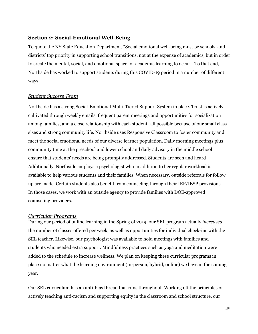#### <span id="page-29-0"></span>**Section 2: Social-Emotional Well-Being**

To quote the NY State Education Department, "Social emotional well-being must be schools' and districts' top priority in supporting school transitions, not at the expense of academics, but in order to create the mental, social, and emotional space for academic learning to occur." To that end, Northside has worked to support students during this COVID-19 period in a number of different ways.

#### <span id="page-29-1"></span>*Student Success Team*

Northside has a strong Social-Emotional Multi-Tiered Support System in place. Trust is actively cultivated through weekly emails, frequent parent meetings and opportunities for socialization among families, and a close relationship with each student–all possible because of our small class sizes and strong community life. Northside uses Responsive Classroom to foster community and meet the social emotional needs of our diverse learner population. Daily morning meetings plus community time at the preschool and lower school and daily advisory in the middle school ensure that students' needs are being promptly addressed. Students are seen and heard Additionally, Northside employs a psychologist who in addition to her regular workload is available to help various students and their families. When necessary, outside referrals for follow up are made. Certain students also benefit from counseling through their IEP/IESP provisions. In those cases, we work with an outside agency to provide families with DOE-approved counseling providers.

#### <span id="page-29-2"></span>*Curricular Programs*

During our period of online learning in the Spring of 2019, our SEL program actually *increased* the number of classes offered per week, as well as opportunities for individual check-ins with the SEL teacher. Likewise, our psychologist was available to hold meetings with families and students who needed extra support. Mindfulness practices such as yoga and meditation were added to the schedule to increase wellness. We plan on keeping these curricular programs in place no matter what the learning environment (in-person, hybrid, online) we have in the coming year.

Our SEL curriculum has an anti-bias thread that runs throughout. Working off the principles of actively teaching anti-racism and supporting equity in the classroom and school structure, our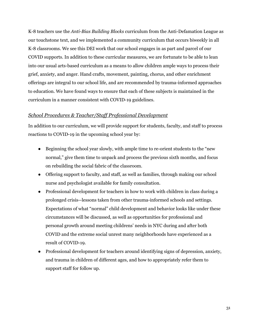K-8 teachers use the *Anti-Bias Building Blocks* curriculum from the Anti-Defamation League as our touchstone text, and we implemented a community curriculum that occurs biweekly in all K-8 classrooms. We see this DEI work that our school engages in as part and parcel of our COVID supports. In addition to these curricular measures, we are fortunate to be able to lean into our usual arts-based curriculum as a means to allow children ample ways to process their grief, anxiety, and anger. Hand crafts, movement, painting, chorus, and other enrichment offerings are integral to our school life, and are recommended by trauma-informed approaches to education. We have found ways to ensure that each of these subjects is maintained in the curriculum in a manner consistent with COVID-19 guidelines.

#### <span id="page-30-0"></span>*School Procedures & Teacher/Staff Professional Development*

In addition to our curriculum, we will provide support for students, faculty, and staff to process reactions to COVID-19 in the upcoming school year by:

- Beginning the school year slowly, with ample time to re-orient students to the "new" normal," give them time to unpack and process the previous sixth months, and focus on rebuilding the social fabric of the classroom.
- Offering support to faculty, and staff, as well as families, through making our school nurse and psychologist available for family consultation.
- Professional development for teachers in how to work with children in class during a prolonged crisis--lessons taken from other trauma-informed schools and settings. Expectations of what "normal" child development and behavior looks like under these circumstances will be discussed, as well as opportunities for professional and personal growth around meeting childrens' needs in NYC during and after both COVID and the extreme social unrest many neighborhoods have experienced as a result of COVID-19.
- Professional development for teachers around identifying signs of depression, anxiety, and trauma in children of different ages, and how to appropriately refer them to support staff for follow up.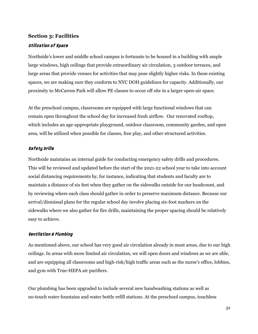#### <span id="page-31-0"></span>**Section 3: Facilities**

#### <span id="page-31-1"></span>Utilization of Space

Northside's lower and middle school campus is fortunate to be housed in a building with ample large windows, high ceilings that provide extraordinary air circulation, 3 outdoor terraces, and large areas that provide venues for activities that may pose slightly higher risks. In these existing spaces, we are making sure they conform to NYC DOH guidelines for capacity. Additionally, our proximity to McCarren Park will allow PE classes to occur off site in a larger open-air space.

At the preschool campus, classrooms are equipped with large functional windows that can remain open throughout the school day for increased fresh airflow. Our renovated rooftop, which includes an age-appropriate playground, outdoor classroom, community garden, and open area, will be utilized when possible for classes, free play, and other structured activities.

#### <span id="page-31-2"></span>Safety Drills

Northside maintains an internal guide for conducting emergency safety drills and procedures. This will be reviewed and updated before the start of the 2021-22 school year to take into account social distancing requirements by, for instance, indicating that students and faculty are to maintain a distance of six feet when they gather on the sidewalks outside for our headcount, and by reviewing where each class should gather in order to preserve maximum distance. Because our arrival/dismissal plans for the regular school day involve placing six-foot markers on the sidewalks where we also gather for fire drills, maintaining the proper spacing should be relatively easy to achieve.

#### <span id="page-31-3"></span>Ventilation & Plumbing

As mentioned above, our school has very good air circulation already in most areas, due to our high ceilings. In areas with more limited air circulation, we will open doors and windows as we are able, and are equipping all classrooms and high-risk/high traffic areas such as the nurse's office, lobbies, and gym with True-HEPA air purifiers.

Our plumbing has been upgraded to include several new handwashing stations as well as no-touch water fountains and water bottle refill stations. At the preschool campus, touchless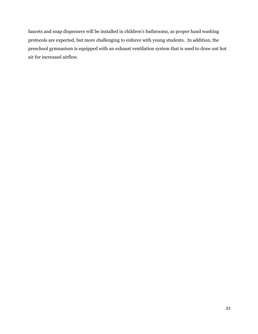faucets and soap dispensers will be installed in children's bathrooms, as proper hand washing protocols are expected, but more challenging to enforce with young students. In addition, the preschool gymnasium is equipped with an exhaust ventilation system that is used to draw out hot air for increased airflow.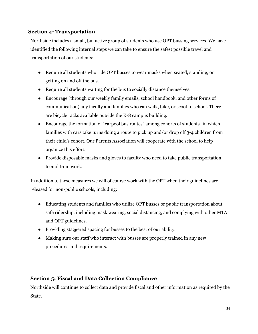# <span id="page-33-0"></span>**Section 4: Transportation**

Northside includes a small, but active group of students who use OPT bussing services. We have identified the following internal steps we can take to ensure the safest possible travel and transportation of our students:

- Require all students who ride OPT busses to wear masks when seated, standing, or getting on and off the bus.
- Require all students waiting for the bus to socially distance themselves.
- Encourage (through our weekly family emails, school handbook, and other forms of communication) any faculty and families who can walk, bike, or scoot to school. There are bicycle racks available outside the K-8 campus building.
- Encourage the formation of "carpool bus routes" among cohorts of students–in which families with cars take turns doing a route to pick up and/or drop off 3-4 children from their child's cohort. Our Parents Association will cooperate with the school to help organize this effort.
- Provide disposable masks and gloves to faculty who need to take public transportation to and from work.

In addition to these measures we will of course work with the OPT when their guidelines are released for non-public schools, including:

- Educating students and families who utilize OPT busses or public transportation about safe ridership, including mask wearing, social distancing, and complying with other MTA and OPT guidelines.
- Providing staggered spacing for busses to the best of our ability.
- Making sure our staff who interact with busses are properly trained in any new procedures and requirements.

# <span id="page-33-1"></span>**Section 5: Fiscal and Data Collection Compliance**

Northside will continue to collect data and provide fiscal and other information as required by the State.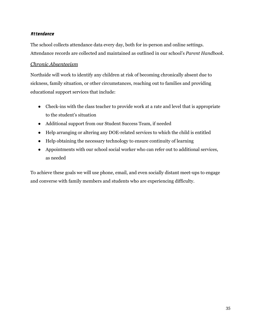# <span id="page-34-0"></span>Attendance

The school collects attendance data every day, both for in-person and online settings. Attendance records are collected and maintained as outlined in our school's *Parent Handbook*.

# <span id="page-34-1"></span>*Chronic Absenteeism*

Northside will work to identify any children at risk of becoming chronically absent due to sickness, family situation, or other circumstances, reaching out to families and providing educational support services that include:

- Check-ins with the class teacher to provide work at a rate and level that is appropriate to the student's situation
- Additional support from our Student Success Team, if needed
- Help arranging or altering any DOE-related services to which the child is entitled
- Help obtaining the necessary technology to ensure continuity of learning
- Appointments with our school social worker who can refer out to additional services, as needed

<span id="page-34-2"></span>To achieve these goals we will use phone, email, and even socially distant meet-ups to engage and converse with family members and students who are experiencing difficulty.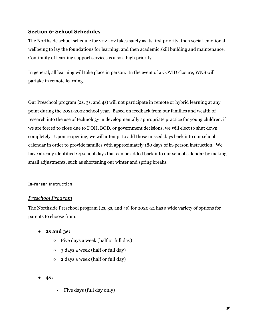# **Section 6: School Schedules**

The Northside school schedule for 2021-22 takes safety as its first priority, then social-emotional wellbeing to lay the foundations for learning, and then academic skill building and maintenance. Continuity of learning support services is also a high priority.

In general, all learning will take place in person. In the event of a COVID closure, WNS will partake in remote learning.

Our Preschool program (2s, 3s, and 4s) will not participate in remote or hybrid learning at any point during the 2021-2022 school year. Based on feedback from our families and wealth of research into the use of technology in developmentally appropriate practice for young children, if we are forced to close due to DOH, BOD, or government decisions, we will elect to shut down completely. Upon reopening, we will attempt to add those missed days back into our school calendar in order to provide families with approximately 180 days of in-person instruction. We have already identified 24 school days that can be added back into our school calendar by making small adjustments, such as shortening our winter and spring breaks.

#### In-Person Instruction

#### <span id="page-35-0"></span>*Preschool Program*

The Northside Preschool program (2s, 3s, and 4s) for 2020-21 has a wide variety of options for parents to choose from:

- **● 2s and 3s:**
	- $\circ$  Five days a week (half or full day)
	- 3 days a week (half or full day)
	- 2 days a week (half or full day)
- **4s:**
- Five days (full day only)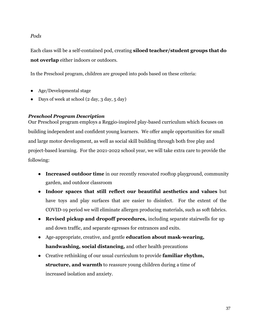# *Pods*

Each class will be a self-contained pod, creating **siloed teacher/student groups that do not overlap** either indoors or outdoors.

In the Preschool program, children are grouped into pods based on these criteria:

- Age/Developmental stage
- Days of week at school (2 day, 3 day, 5 day)

# *Preschool Program Description*

Our Preschool program employs a Reggio-inspired play-based curriculum which focuses on building independent and confident young learners. We offer ample opportunities for small and large motor development, as well as social skill building through both free play and project-based learning. For the 2021-2022 school year, we will take extra care to provide the following:

- **Increased outdoor time** in our recently renovated rooftop playground, community garden, and outdoor classroom
- **Indoor spaces that still reflect our beautiful aesthetics and values** but have toys and play surfaces that are easier to disinfect. For the extent of the COVID-19 period we will eliminate allergen producing materials, such as soft fabrics.
- **Revised pickup and dropoff procedures,** including separate stairwells for up and down traffic, and separate egresses for entrances and exits.
- Age-appropriate, creative, and gentle **education about mask-wearing, handwashing, social distancing,** and other health precautions
- Creative rethinking of our usual curriculum to provide **familiar rhythm, structure, and warmth** to reassure young children during a time of increased isolation and anxiety.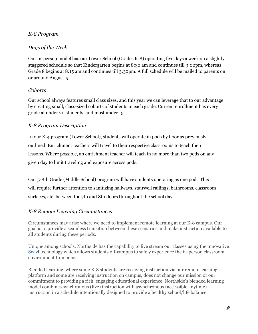# *K-8 Program*

# *Days of the Week*

Our in-person model has our Lower School (Grades K-8) operating five days a week on a slightly staggered schedule so that Kindergarten begins at 8:30 am and continues till 3:00pm, whereas Grade 8 begins at 8:15 am and continues till 3:30pm. A full schedule will be mailed to parents on or around August 15.

# *Cohorts*

Our school always features small class sizes, and this year we can leverage that to our advantage by creating small, class-sized cohorts of students in each grade. Current enrollment has every grade at under 20 students, and most under 15.

# *K-8 Program Description*

In our K-4 program (Lower School), students will operate in pods by floor as previously outlined. Enrichment teachers will travel to their respective classrooms to teach their lessons. Where possible, an enrichment teacher will teach in no more than two pods on any given day to limit traveling and exposure across pods.

Our 5-8th Grade (Middle School) program will have students operating as one pod. This will require further attention to sanitizing hallways, stairwell railings, bathrooms, classroom surfaces, etc. between the 7th and 8th floors throughout the school day.

# *K-8 Remote Learning Circumstances*

Circumstances may arise where we need to implement remote learning at our K-8 campus. Our goal is to provide a seamless transition between these scenarios and make instruction available to all students during these periods.

Unique among schools, Northside has the capability to live stream our classes using the innovative [Swivl](http://email.mail1.veracross.com/c/eJw9j82OwyAMhJ8m3IpsExZy4FD15zWiFNgNKg0RpOH1S3pYySN5PkvWjDO90sh2O64-l7SM_jWFOK5PgwokEJuNfgxkhSfnPP2gnXqnfgdpJ9njA5AGFs28bWvpxLmje5taKy817JHb9Gr-u59i2H0zLBgCApBNSBIFR65Qg7zc9EWJqxBn3fVwpEC--zzZnEo5PrFsbs6_27GGGJeUt5mn_HdktzH4ZTNfVoLzB_svQgrwA_VZSMQ) technology which allows students off-campus to safely experience the in-person classroom environment from afar.

Blended learning, where some K-8 students are receiving instruction via our remote learning platform and some are receiving instruction on campus, does not change our mission or our commitment to providing a rich, engaging educational experience. Northside's blended learning model combines synchronous (live) instruction with asynchronous (accessible anytime) instruction in a schedule intentionally designed to provide a healthy school/life balance.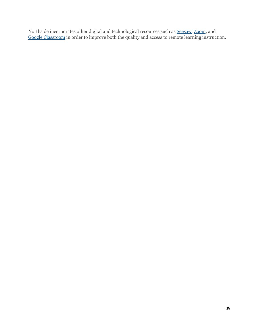Northside incorporates other digital and technological resources such as **Seesaw**, [Zoom](https://blog.zoom.us/zoom-for-education-top-10-frequently-asked-questions/), and Google [Classroom](https://edu.google.com/products/classroom/?modal_active=none#%2Fready-to-go) in order to improve both the quality and access to remote learning instruction.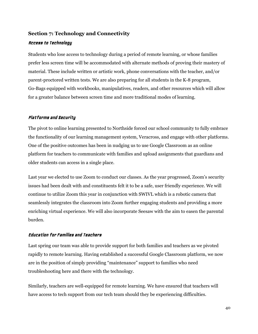# <span id="page-39-0"></span>**Section 7: Technology and Connectivity**

#### <span id="page-39-1"></span>Access to Technology

Students who lose access to technology during a period of remote learning, or whose families prefer less screen time will be accommodated with alternate methods of proving their mastery of material. These include written or artistic work, phone conversations with the teacher, and/or parent-proctored written tests. We are also preparing for all students in the K-8 program, Go-Bags equipped with workbooks, manipulatives, readers, and other resources which will allow for a greater balance between screen time and more traditional modes of learning.

#### <span id="page-39-2"></span>Platforms and Security

The pivot to online learning presented to Northside forced our school community to fully embrace the functionality of our learning management system, Veracross, and engage with other platforms. One of the positive outcomes has been in nudging us to use Google Classroom as an online platform for teachers to communicate with families and upload assignments that guardians and older students can access in a single place.

Last year we elected to use Zoom to conduct our classes. As the year progressed, Zoom's security issues had been dealt with and constituents felt it to be a safe, user friendly experience. We will continue to utilize Zoom this year in conjunction with SWIVL which is a robotic camera that seamlessly integrates the classroom into Zoom further engaging students and providing a more enriching virtual experience. We will also incorporate Seesaw with the aim to easen the parental burden.

#### <span id="page-39-3"></span>Education for Families and Teachers

Last spring our team was able to provide support for both families and teachers as we pivoted rapidly to remote learning. Having established a successful Google Classroom platform, we now are in the position of simply providing "maintenance" support to families who need troubleshooting here and there with the technology.

Similarly, teachers are well-equipped for remote learning. We have ensured that teachers will have access to tech support from our tech team should they be experiencing difficulties.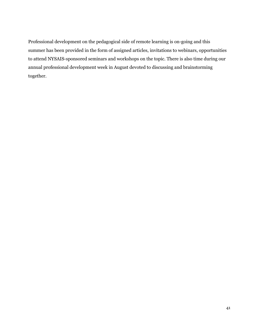Professional development on the pedagogical side of remote learning is on-going and this summer has been provided in the form of assigned articles, invitations to webinars, opportunities to attend NYSAIS-sponsored seminars and workshops on the topic. There is also time during our annual professional development week in August devoted to discussing and brainstorming together.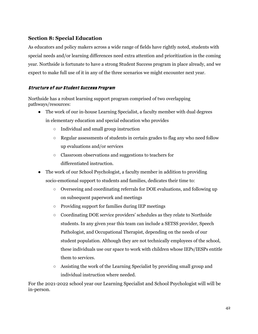# <span id="page-41-0"></span>**Section 8: Special Education**

As educators and policy makers across a wide range of fields have rightly noted, students with special needs and/or learning differences need extra attention and prioritization in the coming year. Northside is fortunate to have a strong Student Success program in place already, and we expect to make full use of it in any of the three scenarios we might encounter next year.

# Structure of our Student Success Program

Northside has a robust learning support program comprised of two overlapping pathways/resources:

- The work of our in-house Learning Specialist, a faculty member with dual degrees in elementary education and special education who provides
	- Individual and small group instruction
	- $\circ$  Regular assessments of students in certain grades to flag any who need follow up evaluations and/or services
	- Classroom observations and suggestions to teachers for differentiated instruction.
- The work of our School Psychologist, a faculty member in addition to providing socio-emotional support to students and families, dedicates their time to:
	- Overseeing and coordinating referrals for DOE evaluations, and following up on subsequent paperwork and meetings
	- Providing support for families during IEP meetings
	- Coordinating DOE service providers' schedules as they relate to Northside students. In any given year this team can include a SETSS provider, Speech Pathologist, and Occupational Therapist, depending on the needs of our student population. Although they are not technically employees of the school, these individuals use our space to work with children whose IEPs/IESPs entitle them to services.
	- Assisting the work of the Learning Specialist by providing small group and individual instruction where needed.

For the 2021-2022 school year our Learning Specialist and School Psychologist will will be in-person.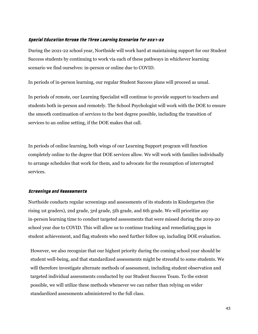#### <span id="page-42-0"></span>Special Education Across the Three Learning Scenarios for 2021-22

During the 2021-22 school year, Northside will work hard at maintaining support for our Student Success students by continuing to work via each of these pathways in whichever learning scenario we find ourselves: in-person or online due to COVID.

In periods of in-person learning, our regular Student Success plans will proceed as usual.

In periods of remote, our Learning Specialist will continue to provide support to teachers and students both in-person and remotely. The School Psychologist will work with the DOE to ensure the smooth continuation of services to the best degree possible, including the transition of services to an online setting, if the DOE makes that call.

In periods of online learning, both wings of our Learning Support program will function completely online to the degree that DOE services allow. We will work with families individually to arrange schedules that work for them, and to advocate for the resumption of interrupted services.

#### <span id="page-42-1"></span>Screenings and Assessments

Northside conducts regular screenings and assessments of its students in Kindergarten (for rising 1st graders), 2nd grade, 3rd grade, 5th grade, and 6th grade. We will prioritize any in-person learning time to conduct targeted assessments that were missed during the 2019-20 school year due to COVID. This will allow us to continue tracking and remediating gaps in student achievement, and flag students who need further follow up, including DOE evaluation.

However, we also recognize that our highest priority during the coming school year should be student well-being, and that standardized assessments might be stressful to some students. We will therefore investigate alternate methods of assessment, including student observation and targeted individual assessments conducted by our Student Success Team. To the extent possible, we will utilize these methods whenever we can rather than relying on wider standardized assessments administered to the full class.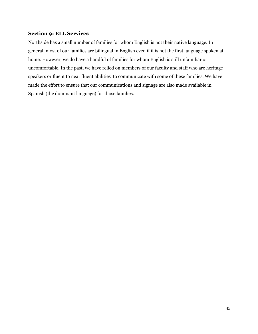# <span id="page-43-0"></span>**Section 9: ELL Services**

Northside has a small number of families for whom English is not their native language. In general, most of our families are bilingual in English even if it is not the first language spoken at home. However, we do have a handful of families for whom English is still unfamiliar or uncomfortable. In the past, we have relied on members of our faculty and staff who are heritage speakers or fluent to near fluent abilities to communicate with some of these families. We have made the effort to ensure that our communications and signage are also made available in Spanish (the dominant language) for those families.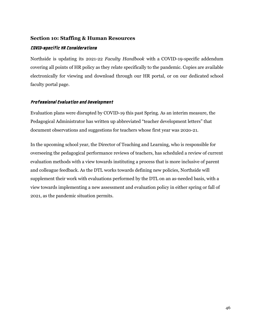#### <span id="page-44-0"></span>**Section 10: Staffing & Human Resources**

#### <span id="page-44-1"></span>COVID-specific HR Considerations

Northside is updating its 2021-22 *Faculty Handbook* with a COVID-19-specific addendum covering all points of HR policy as they relate specifically to the pandemic. Copies are available electronically for viewing and download through our HR portal, or on our dedicated school faculty portal page.

#### <span id="page-44-2"></span>Professional Evaluation and Development

Evaluation plans were disrupted by COVID-19 this past Spring. As an interim measure, the Pedagogical Administrator has written up abbreviated "teacher development letters" that document observations and suggestions for teachers whose first year was 202o-21.

In the upcoming school year, the Director of Teaching and Learning, who is responsible for overseeing the pedagogical performance reviews of teachers, has scheduled a review of current evaluation methods with a view towards instituting a process that is more inclusive of parent and colleague feedback. As the DTL works towards defining new policies, Northside will supplement their work with evaluations performed by the DTL on an as-needed basis, with a view towards implementing a new assessment and evaluation policy in either spring or fall of 2021, as the pandemic situation permits.